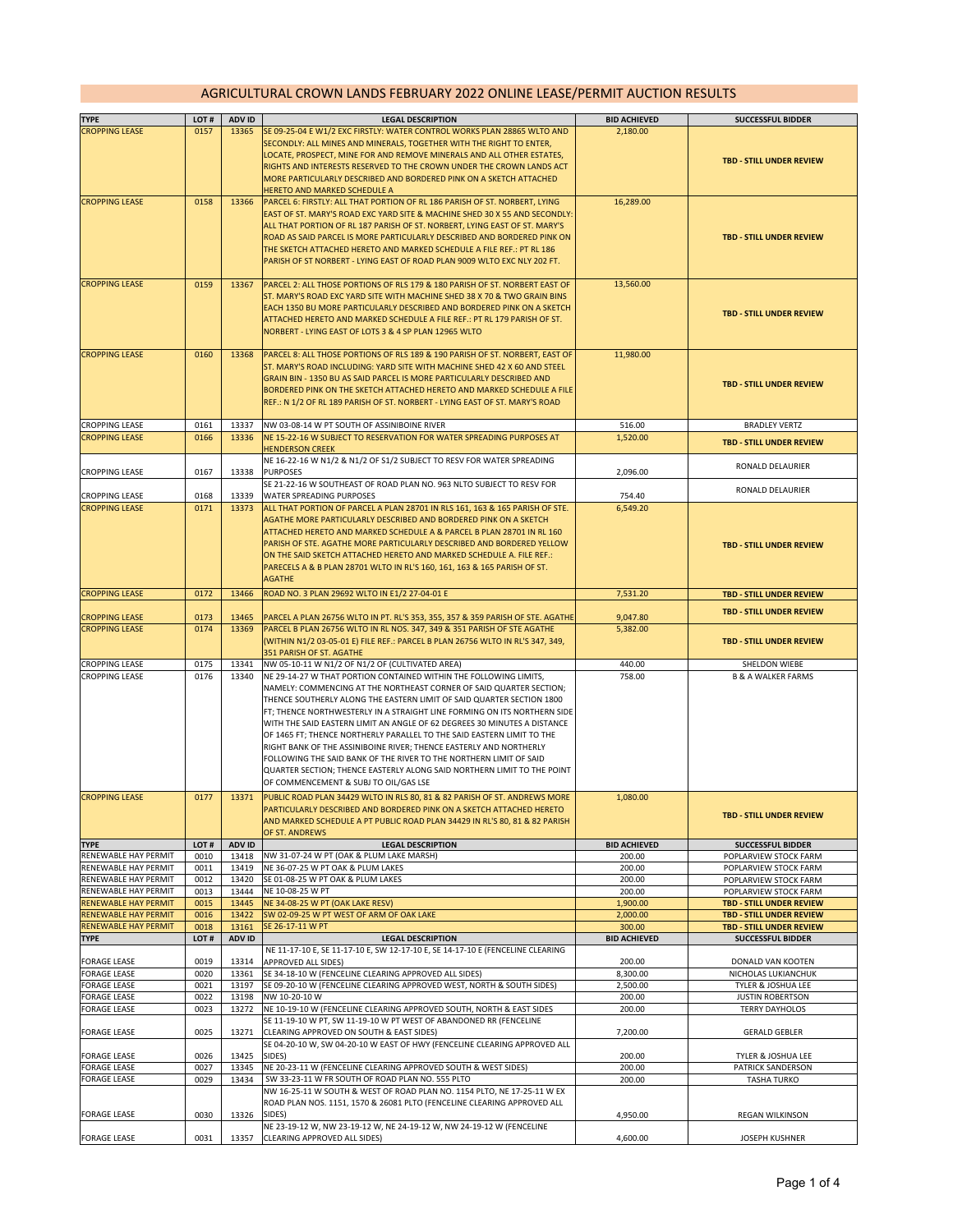## AGRICULTURAL CROWN LANDS FEBRUARY 2022 ONLINE LEASE/PERMIT AUCTION RESULTS

| <b>TYPE</b>                                  | LOT#         | ADV ID         | <b>LEGAL DESCRIPTION</b>                                                                                                                                | <b>BID ACHIEVED</b>  | <b>SUCCESSFUL BIDDER</b>                       |
|----------------------------------------------|--------------|----------------|---------------------------------------------------------------------------------------------------------------------------------------------------------|----------------------|------------------------------------------------|
| <b>CROPPING LEASE</b>                        | 0157         | 13365          | SE 09-25-04 E W1/2 EXC FIRSTLY: WATER CONTROL WORKS PLAN 28865 WLTO AND                                                                                 | 2,180.00             |                                                |
|                                              |              |                | SECONDLY: ALL MINES AND MINERALS, TOGETHER WITH THE RIGHT TO ENTER,                                                                                     |                      |                                                |
|                                              |              |                | LOCATE, PROSPECT, MINE FOR AND REMOVE MINERALS AND ALL OTHER ESTATES,                                                                                   |                      |                                                |
|                                              |              |                | RIGHTS AND INTERESTS RESERVED TO THE CROWN UNDER THE CROWN LANDS ACT                                                                                    |                      | <b>TBD - STILL UNDER REVIEW</b>                |
|                                              |              |                | MORE PARTICULARLY DESCRIBED AND BORDERED PINK ON A SKETCH ATTACHED                                                                                      |                      |                                                |
|                                              |              |                | HERETO AND MARKED SCHEDULE A                                                                                                                            |                      |                                                |
| <b>CROPPING LEASE</b>                        | 0158         | 13366          | PARCEL 6: FIRSTLY: ALL THAT PORTION OF RL 186 PARISH OF ST. NORBERT, LYING                                                                              | 16,289.00            |                                                |
|                                              |              |                | EAST OF ST. MARY'S ROAD EXC YARD SITE & MACHINE SHED 30 X 55 AND SECONDLY:                                                                              |                      |                                                |
|                                              |              |                | ALL THAT PORTION OF RL 187 PARISH OF ST. NORBERT, LYING EAST OF ST. MARY'S                                                                              |                      |                                                |
|                                              |              |                | ROAD AS SAID PARCEL IS MORE PARTICULARLY DESCRIBED AND BORDERED PINK ON                                                                                 |                      | <b>TBD - STILL UNDER REVIEW</b>                |
|                                              |              |                | THE SKETCH ATTACHED HERETO AND MARKED SCHEDULE A FILE REF.: PT RL 186                                                                                   |                      |                                                |
|                                              |              |                | PARISH OF ST NORBERT - LYING EAST OF ROAD PLAN 9009 WLTO EXC NLY 202 FT.                                                                                |                      |                                                |
|                                              |              |                |                                                                                                                                                         |                      |                                                |
| <b>CROPPING LEASE</b>                        | 0159         | 13367          | PARCEL 2: ALL THOSE PORTIONS OF RLS 179 & 180 PARISH OF ST. NORBERT EAST OF<br>ST. MARY'S ROAD EXC YARD SITE WITH MACHINE SHED 38 X 70 & TWO GRAIN BINS | 13,560.00            |                                                |
|                                              |              |                | EACH 1350 BU MORE PARTICULARLY DESCRIBED AND BORDERED PINK ON A SKETCH                                                                                  |                      |                                                |
|                                              |              |                | ATTACHED HERETO AND MARKED SCHEDULE A FILE REF.: PT RL 179 PARISH OF ST.                                                                                |                      | <b>TBD - STILL UNDER REVIEW</b>                |
|                                              |              |                | NORBERT - LYING EAST OF LOTS 3 & 4 SP PLAN 12965 WLTO                                                                                                   |                      |                                                |
|                                              |              |                |                                                                                                                                                         |                      |                                                |
| <b>CROPPING LEASE</b>                        | 0160         | 13368          | PARCEL 8: ALL THOSE PORTIONS OF RLS 189 & 190 PARISH OF ST. NORBERT, EAST OF                                                                            | 11,980.00            |                                                |
|                                              |              |                | ST. MARY'S ROAD INCLUDING: YARD SITE WITH MACHINE SHED 42 X 60 AND STEEL                                                                                |                      |                                                |
|                                              |              |                | GRAIN BIN - 1350 BU AS SAID PARCEL IS MORE PARTICULARLY DESCRIBED AND                                                                                   |                      |                                                |
|                                              |              |                | <b>BORDERED PINK ON THE SKETCH ATTACHED HERETO AND MARKED SCHEDULE A FILE</b>                                                                           |                      | <b>TBD - STILL UNDER REVIEW</b>                |
|                                              |              |                | REF.: N 1/2 OF RL 189 PARISH OF ST. NORBERT - LYING EAST OF ST. MARY'S ROAD                                                                             |                      |                                                |
|                                              |              |                |                                                                                                                                                         |                      |                                                |
| <b>CROPPING LEASE</b>                        | 0161         | 13337          | NW 03-08-14 W PT SOUTH OF ASSINIBOINE RIVER                                                                                                             | 516.00               | <b>BRADLEY VERTZ</b>                           |
| <b>CROPPING LEASE</b>                        | 0166         | 13336          | NE 15-22-16 W SUBJECT TO RESERVATION FOR WATER SPREADING PURPOSES AT                                                                                    | 1,520.00             | <b>TBD - STILL UNDER REVIEW</b>                |
|                                              |              |                | <b>HENDERSON CREEK</b>                                                                                                                                  |                      |                                                |
| <b>CROPPING LEASE</b>                        | 0167         | 13338          | NE 16-22-16 W N1/2 & N1/2 OF S1/2 SUBJECT TO RESV FOR WATER SPREADING<br><b>PURPOSES</b>                                                                |                      | RONALD DELAURIER                               |
|                                              |              |                | SE 21-22-16 W SOUTHEAST OF ROAD PLAN NO. 963 NLTO SUBJECT TO RESV FOR                                                                                   | 2,096.00             |                                                |
| <b>CROPPING LEASE</b>                        | 0168         | 13339          | <b>WATER SPREADING PURPOSES</b>                                                                                                                         | 754.40               | RONALD DELAURIER                               |
| <b>CROPPING LEASE</b>                        | 0171         | 13373          | ALL THAT PORTION OF PARCEL A PLAN 28701 IN RLS 161, 163 & 165 PARISH OF STE.                                                                            | 6,549.20             |                                                |
|                                              |              |                | AGATHE MORE PARTICULARLY DESCRIBED AND BORDERED PINK ON A SKETCH                                                                                        |                      |                                                |
|                                              |              |                | ATTACHED HERETO AND MARKED SCHEDULE A & PARCEL B PLAN 28701 IN RL 160                                                                                   |                      |                                                |
|                                              |              |                | PARISH OF STE. AGATHE MORE PARTICULARLY DESCRIBED AND BORDERED YELLOW                                                                                   |                      | <b>TBD - STILL UNDER REVIEW</b>                |
|                                              |              |                | ON THE SAID SKETCH ATTACHED HERETO AND MARKED SCHEDULE A. FILE REF.:                                                                                    |                      |                                                |
|                                              |              |                | PARECELS A & B PLAN 28701 WLTO IN RL'S 160, 161, 163 & 165 PARISH OF ST.                                                                                |                      |                                                |
|                                              |              |                | <b>AGATHE</b>                                                                                                                                           |                      |                                                |
| <b>CROPPING LEASE</b>                        | 0172         | 13466          | ROAD NO. 3 PLAN 29692 WLTO IN E1/2 27-04-01 E                                                                                                           | 7,531.20             | <b>TBD - STILL UNDER REVIEW</b>                |
|                                              |              |                |                                                                                                                                                         |                      | TBD - STILL UNDER REVIEW                       |
| <b>CROPPING LEASE</b>                        | 0173         | 13465          | PARCEL A PLAN 26756 WLTO IN PT. RL'S 353, 355, 357 & 359 PARISH OF STE. AGATHE                                                                          | 9,047.80             |                                                |
| <b>CROPPING LEASE</b>                        | 0174         | 13369          | PARCEL B PLAN 26756 WLTO IN RL NOS. 347, 349 & 351 PARISH OF STE AGATHE                                                                                 | 5,382.00             |                                                |
|                                              |              |                | (WITHIN N1/2 03-05-01 E) FILE REF.: PARCEL B PLAN 26756 WLTO IN RL'S 347, 349,                                                                          |                      | <b>TBD - STILL UNDER REVIEW</b>                |
|                                              |              |                | 351 PARISH OF ST. AGATHE                                                                                                                                |                      |                                                |
| <b>CROPPING LEASE</b>                        | 0175         | 13341          | NW 05-10-11 W N1/2 OF N1/2 OF (CULTIVATED AREA)                                                                                                         | 440.00               | SHELDON WIEBE                                  |
| <b>CROPPING LEASE</b>                        | 0176         | 13340          | NE 29-14-27 W THAT PORTION CONTAINED WITHIN THE FOLLOWING LIMITS,                                                                                       | 758.00               | <b>B &amp; A WALKER FARMS</b>                  |
|                                              |              |                | NAMELY: COMMENCING AT THE NORTHEAST CORNER OF SAID QUARTER SECTION;<br>THENCE SOUTHERLY ALONG THE EASTERN LIMIT OF SAID QUARTER SECTION 1800            |                      |                                                |
|                                              |              |                | FT; THENCE NORTHWESTERLY IN A STRAIGHT LINE FORMING ON ITS NORTHERN SIDE                                                                                |                      |                                                |
|                                              |              |                | WITH THE SAID EASTERN LIMIT AN ANGLE OF 62 DEGREES 30 MINUTES A DISTANCE                                                                                |                      |                                                |
|                                              |              |                | OF 1465 FT; THENCE NORTHERLY PARALLEL TO THE SAID EASTERN LIMIT TO THE                                                                                  |                      |                                                |
|                                              |              |                | RIGHT BANK OF THE ASSINIBOINE RIVER; THENCE EASTERLY AND NORTHERLY                                                                                      |                      |                                                |
|                                              |              |                | FOLLOWING THE SAID BANK OF THE RIVER TO THE NORTHERN LIMIT OF SAID                                                                                      |                      |                                                |
|                                              |              |                | QUARTER SECTION; THENCE EASTERLY ALONG SAID NORTHERN LIMIT TO THE POINT                                                                                 |                      |                                                |
|                                              |              |                | OF COMMENCEMENT & SUBJ TO OIL/GAS LSE                                                                                                                   |                      |                                                |
| <b>CROPPING LEASE</b>                        | 0177         | 13371          | PUBLIC ROAD PLAN 34429 WLTO IN RLS 80, 81 & 82 PARISH OF ST. ANDREWS MORE                                                                               | 1,080.00             |                                                |
|                                              |              |                | PARTICULARLY DESCRIBED AND BORDERED PINK ON A SKETCH ATTACHED HERETO                                                                                    |                      |                                                |
|                                              |              |                | AND MARKED SCHEDULE A PT PUBLIC ROAD PLAN 34429 IN RL'S 80, 81 & 82 PARISH                                                                              |                      | <b>TBD - STILL UNDER REVIEW</b>                |
|                                              |              |                | OF ST. ANDREWS                                                                                                                                          |                      |                                                |
| <b>TYPE</b>                                  | LOT#         | ADV ID         | <b>LEGAL DESCRIPTION</b>                                                                                                                                | <b>BID ACHIEVED</b>  | <b>SUCCESSFUL BIDDER</b>                       |
| RENEWABLE HAY PERMIT                         | 0010         | 13418          | NW 31-07-24 W PT (OAK & PLUM LAKE MARSH)                                                                                                                | 200.00               | POPLARVIEW STOCK FARM                          |
| RENEWABLE HAY PERMIT                         | 0011         | 13419          | NE 36-07-25 W PT OAK & PLUM LAKES                                                                                                                       | 200.00               | POPLARVIEW STOCK FARM                          |
| RENEWABLE HAY PERMIT<br>RENEWABLE HAY PERMIT | 0012<br>0013 | 13420<br>13444 | SE 01-08-25 W PT OAK & PLUM LAKES<br>NE 10-08-25 W PT                                                                                                   | 200.00<br>200.00     | POPLARVIEW STOCK FARM<br>POPLARVIEW STOCK FARM |
| <b>RENEWABLE HAY PERMIT</b>                  | 0015         | 13445          | NE 34-08-25 W PT (OAK LAKE RESV)                                                                                                                        |                      | <b>TBD - STILL UNDER REVIEW</b>                |
| <b>RENEWABLE HAY PERMIT</b>                  | 0016         | 13422          | SW 02-09-25 W PT WEST OF ARM OF OAK LAKE                                                                                                                | 1,900.00<br>2,000.00 | <b>TBD - STILL UNDER REVIEW</b>                |
| <b>RENEWABLE HAY PERMIT</b>                  | 0018         | 13161          | SE 26-17-11 W PT                                                                                                                                        | 300.00               | TBD - STILL UNDER REVIEW                       |
| <b>TYPE</b>                                  | LOT#         | ADV ID         | <b>LEGAL DESCRIPTION</b>                                                                                                                                | <b>BID ACHIEVED</b>  | <b>SUCCESSFUL BIDDER</b>                       |
|                                              |              |                | NE 11-17-10 E, SE 11-17-10 E, SW 12-17-10 E, SE 14-17-10 E (FENCELINE CLEARING                                                                          |                      |                                                |
| FORAGE LEASE                                 | 0019         | 13314          | APPROVED ALL SIDES)                                                                                                                                     | 200.00               | DONALD VAN KOOTEN                              |
| <b>FORAGE LEASE</b>                          | 0020         | 13361          | SE 34-18-10 W (FENCELINE CLEARING APPROVED ALL SIDES)                                                                                                   | 8,300.00             | NICHOLAS LUKIANCHUK                            |
| FORAGE LEASE                                 | 0021         | 13197          | SE 09-20-10 W (FENCELINE CLEARING APPROVED WEST, NORTH & SOUTH SIDES)                                                                                   | 2,500.00             | TYLER & JOSHUA LEE                             |
| <b>FORAGE LEASE</b>                          | 0022         | 13198          | NW 10-20-10 W                                                                                                                                           | 200.00               | <b>JUSTIN ROBERTSON</b>                        |
| <b>FORAGE LEASE</b>                          | 0023         | 13272          | NE 10-19-10 W (FENCELINE CLEARING APPROVED SOUTH, NORTH & EAST SIDES                                                                                    | 200.00               | <b>TERRY DAYHOLOS</b>                          |
|                                              |              |                | SE 11-19-10 W PT, SW 11-19-10 W PT WEST OF ABANDONED RR (FENCELINE                                                                                      |                      |                                                |
| <b>FORAGE LEASE</b>                          | 0025         | 13271          | CLEARING APPROVED ON SOUTH & EAST SIDES)<br>SE 04-20-10 W, SW 04-20-10 W EAST OF HWY (FENCELINE CLEARING APPROVED ALL                                   | 7,200.00             | <b>GERALD GEBLER</b>                           |
| <b>FORAGE LEASE</b>                          | 0026         | 13425          | SIDES)                                                                                                                                                  | 200.00               | TYLER & JOSHUA LEE                             |
| <b>FORAGE LEASE</b>                          | 0027         | 13345          | NE 20-23-11 W (FENCELINE CLEARING APPROVED SOUTH & WEST SIDES)                                                                                          | 200.00               | PATRICK SANDERSON                              |
| <b>FORAGE LEASE</b>                          | 0029         | 13434          | SW 33-23-11 W FR SOUTH OF ROAD PLAN NO. 555 PLTO                                                                                                        | 200.00               | <b>TASHA TURKO</b>                             |
|                                              |              |                | NW 16-25-11 W SOUTH & WEST OF ROAD PLAN NO. 1154 PLTO, NE 17-25-11 W EX                                                                                 |                      |                                                |
|                                              |              |                | ROAD PLAN NOS. 1151, 1570 & 26081 PLTO (FENCELINE CLEARING APPROVED ALL                                                                                 |                      |                                                |
| <b>FORAGE LEASE</b>                          | 0030         | 13326          | SIDES)                                                                                                                                                  | 4,950.00             | REGAN WILKINSON                                |
|                                              |              |                | NE 23-19-12 W, NW 23-19-12 W, NE 24-19-12 W, NW 24-19-12 W (FENCELINE                                                                                   |                      |                                                |
| <b>FORAGE LEASE</b>                          | 0031         | 13357          | CLEARING APPROVED ALL SIDES)                                                                                                                            | 4,600.00             | JOSEPH KUSHNER                                 |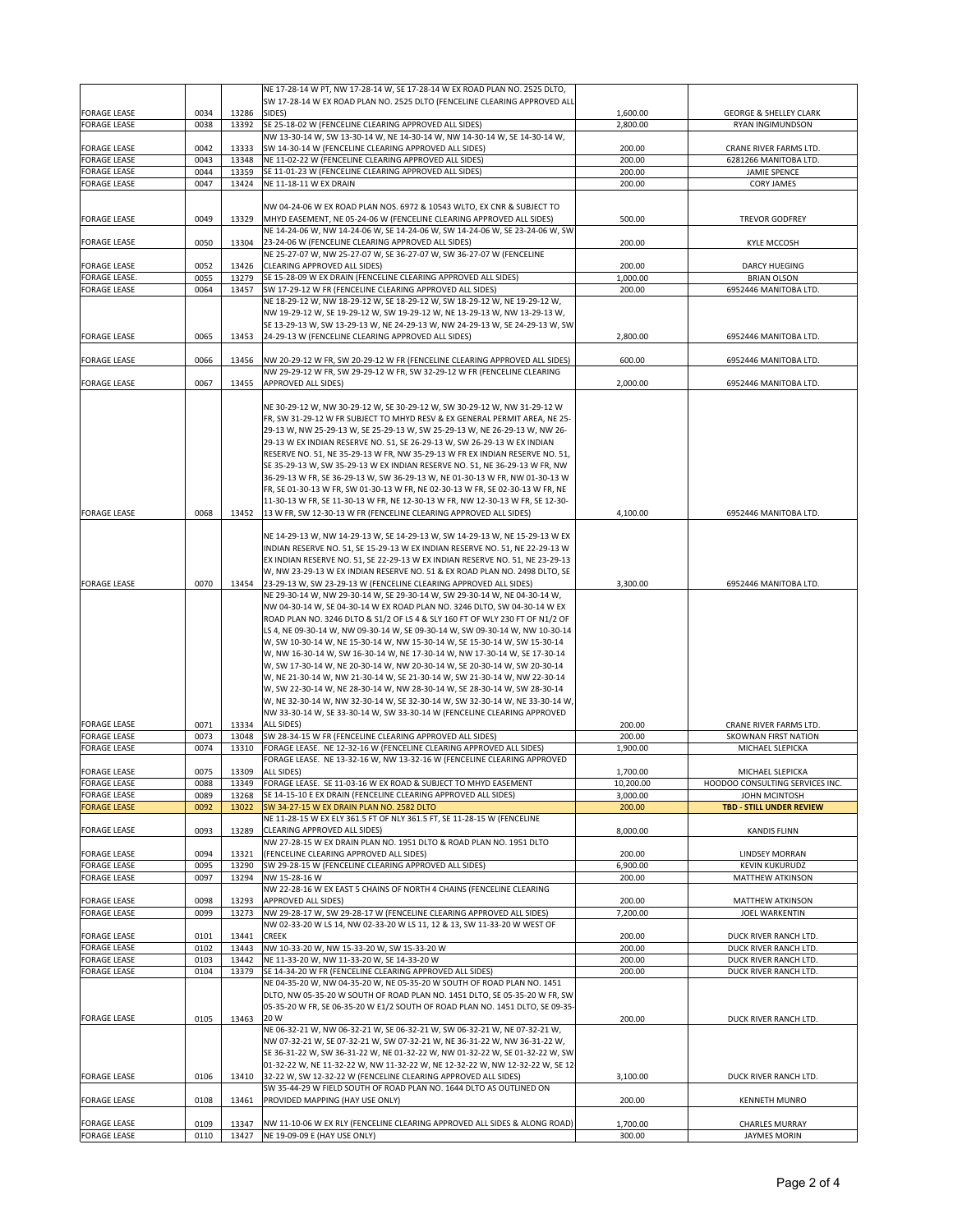|                                            |              |                | NE 17-28-14 W PT, NW 17-28-14 W, SE 17-28-14 W EX ROAD PLAN NO. 2525 DLTO,                                                                               |                    |                                                 |
|--------------------------------------------|--------------|----------------|----------------------------------------------------------------------------------------------------------------------------------------------------------|--------------------|-------------------------------------------------|
|                                            |              |                | SW 17-28-14 W EX ROAD PLAN NO. 2525 DLTO (FENCELINE CLEARING APPROVED ALL                                                                                |                    |                                                 |
| <b>FORAGE LEASE</b>                        | 0034         | 13286          | SIDES)                                                                                                                                                   | 1,600.00           | <b>GEORGE &amp; SHELLEY CLARK</b>               |
| <b>FORAGE LEASE</b>                        | 0038         | 13392          | SE 25-18-02 W (FENCELINE CLEARING APPROVED ALL SIDES)                                                                                                    | 2,800.00           | RYAN INGIMUNDSON                                |
|                                            |              |                | NW 13-30-14 W, SW 13-30-14 W, NE 14-30-14 W, NW 14-30-14 W, SE 14-30-14 W,                                                                               |                    |                                                 |
| <b>FORAGE LEASE</b><br><b>FORAGE LEASE</b> | 0042<br>0043 | 13333<br>13348 | SW 14-30-14 W (FENCELINE CLEARING APPROVED ALL SIDES)<br>NE 11-02-22 W (FENCELINE CLEARING APPROVED ALL SIDES)                                           | 200.00<br>200.00   | CRANE RIVER FARMS LTD.<br>6281266 MANITOBA LTD. |
| <b>FORAGE LEASE</b>                        | 0044         | 13359          | SE 11-01-23 W (FENCELINE CLEARING APPROVED ALL SIDES)                                                                                                    | 200.00             | <b>JAMIE SPENCE</b>                             |
| <b>FORAGE LEASE</b>                        | 0047         | 13424          | NE 11-18-11 W EX DRAIN                                                                                                                                   | 200.00             | <b>CORY JAMES</b>                               |
|                                            |              |                |                                                                                                                                                          |                    |                                                 |
|                                            |              |                | NW 04-24-06 W EX ROAD PLAN NOS. 6972 & 10543 WLTO, EX CNR & SUBJECT TO                                                                                   |                    |                                                 |
| <b>FORAGE LEASE</b>                        | 0049         | 13329          | MHYD EASEMENT, NE 05-24-06 W (FENCELINE CLEARING APPROVED ALL SIDES)                                                                                     | 500.00             | <b>TREVOR GODFREY</b>                           |
|                                            |              |                | NE 14-24-06 W, NW 14-24-06 W, SE 14-24-06 W, SW 14-24-06 W, SE 23-24-06 W, SW                                                                            |                    |                                                 |
| <b>FORAGE LEASE</b>                        | 0050         | 13304          | 23-24-06 W (FENCELINE CLEARING APPROVED ALL SIDES)                                                                                                       | 200.00             | <b>KYLE MCCOSH</b>                              |
|                                            |              |                | NE 25-27-07 W, NW 25-27-07 W, SE 36-27-07 W, SW 36-27-07 W (FENCELINE                                                                                    |                    |                                                 |
| <b>FORAGE LEASE</b>                        | 0052         | 13426          | CLEARING APPROVED ALL SIDES)                                                                                                                             | 200.00             | DARCY HUEGING                                   |
| FORAGE LEASE.<br><b>FORAGE LEASE</b>       | 0055<br>0064 | 13279<br>13457 | SE 15-28-09 W EX DRAIN (FENCELINE CLEARING APPROVED ALL SIDES)<br>SW 17-29-12 W FR (FENCELINE CLEARING APPROVED ALL SIDES)                               | 1,000.00<br>200.00 | <b>BRIAN OLSON</b><br>6952446 MANITOBA LTD.     |
|                                            |              |                | NE 18-29-12 W, NW 18-29-12 W, SE 18-29-12 W, SW 18-29-12 W, NE 19-29-12 W,                                                                               |                    |                                                 |
|                                            |              |                | NW 19-29-12 W, SE 19-29-12 W, SW 19-29-12 W, NE 13-29-13 W, NW 13-29-13 W,                                                                               |                    |                                                 |
|                                            |              |                | SE 13-29-13 W, SW 13-29-13 W, NE 24-29-13 W, NW 24-29-13 W, SE 24-29-13 W, SW                                                                            |                    |                                                 |
| <b>FORAGE LEASE</b>                        | 0065         | 13453          | 24-29-13 W (FENCELINE CLEARING APPROVED ALL SIDES)                                                                                                       | 2,800.00           | 6952446 MANITOBA LTD.                           |
|                                            |              |                |                                                                                                                                                          |                    |                                                 |
| <b>FORAGE LEASE</b>                        | 0066         | 13456          | NW 20-29-12 W FR, SW 20-29-12 W FR (FENCELINE CLEARING APPROVED ALL SIDES)                                                                               | 600.00             | 6952446 MANITOBA LTD.                           |
|                                            |              |                | NW 29-29-12 W FR, SW 29-29-12 W FR, SW 32-29-12 W FR (FENCELINE CLEARING                                                                                 |                    |                                                 |
| <b>FORAGE LEASE</b>                        | 0067         | 13455          | <b>APPROVED ALL SIDES)</b>                                                                                                                               | 2,000.00           | 6952446 MANITOBA LTD.                           |
|                                            |              |                |                                                                                                                                                          |                    |                                                 |
|                                            |              |                | NE 30-29-12 W, NW 30-29-12 W, SE 30-29-12 W, SW 30-29-12 W, NW 31-29-12 W                                                                                |                    |                                                 |
|                                            |              |                | FR, SW 31-29-12 W FR SUBJECT TO MHYD RESV & EX GENERAL PERMIT AREA, NE 25-                                                                               |                    |                                                 |
|                                            |              |                | 29-13 W, NW 25-29-13 W, SE 25-29-13 W, SW 25-29-13 W, NE 26-29-13 W, NW 26-                                                                              |                    |                                                 |
|                                            |              |                | 29-13 W EX INDIAN RESERVE NO. 51, SE 26-29-13 W, SW 26-29-13 W EX INDIAN<br>RESERVE NO. 51, NE 35-29-13 W FR, NW 35-29-13 W FR EX INDIAN RESERVE NO. 51, |                    |                                                 |
|                                            |              |                | SE 35-29-13 W, SW 35-29-13 W EX INDIAN RESERVE NO. 51, NE 36-29-13 W FR, NW                                                                              |                    |                                                 |
|                                            |              |                | 36-29-13 W FR, SE 36-29-13 W, SW 36-29-13 W, NE 01-30-13 W FR, NW 01-30-13 W                                                                             |                    |                                                 |
|                                            |              |                | FR, SE 01-30-13 W FR, SW 01-30-13 W FR, NE 02-30-13 W FR, SE 02-30-13 W FR, NE                                                                           |                    |                                                 |
|                                            |              |                | 11-30-13 W FR, SE 11-30-13 W FR, NE 12-30-13 W FR, NW 12-30-13 W FR, SE 12-30-                                                                           |                    |                                                 |
| <b>FORAGE LEASE</b>                        | 0068         | 13452          | 13 W FR, SW 12-30-13 W FR (FENCELINE CLEARING APPROVED ALL SIDES)                                                                                        | 4,100.00           | 6952446 MANITOBA LTD                            |
|                                            |              |                |                                                                                                                                                          |                    |                                                 |
|                                            |              |                | NE 14-29-13 W, NW 14-29-13 W, SE 14-29-13 W, SW 14-29-13 W, NE 15-29-13 W EX                                                                             |                    |                                                 |
|                                            |              |                | INDIAN RESERVE NO. 51, SE 15-29-13 W EX INDIAN RESERVE NO. 51, NE 22-29-13 W                                                                             |                    |                                                 |
|                                            |              |                | EX INDIAN RESERVE NO. 51, SE 22-29-13 W EX INDIAN RESERVE NO. 51, NE 23-29-13                                                                            |                    |                                                 |
|                                            |              |                | W, NW 23-29-13 W EX INDIAN RESERVE NO. 51 & EX ROAD PLAN NO. 2498 DLTO, SE                                                                               |                    |                                                 |
| <b>FORAGE LEASE</b>                        | 0070         | 13454          | 23-29-13 W, SW 23-29-13 W (FENCELINE CLEARING APPROVED ALL SIDES)                                                                                        | 3,300.00           | 6952446 MANITOBA LTD.                           |
|                                            |              |                | NE 29-30-14 W, NW 29-30-14 W, SE 29-30-14 W, SW 29-30-14 W, NE 04-30-14 W,                                                                               |                    |                                                 |
|                                            |              |                | NW 04-30-14 W, SE 04-30-14 W EX ROAD PLAN NO. 3246 DLTO, SW 04-30-14 W EX                                                                                |                    |                                                 |
|                                            |              |                | ROAD PLAN NO. 3246 DLTO & S1/2 OF LS 4 & SLY 160 FT OF WLY 230 FT OF N1/2 OF                                                                             |                    |                                                 |
|                                            |              |                | LS 4, NE 09-30-14 W, NW 09-30-14 W, SE 09-30-14 W, SW 09-30-14 W, NW 10-30-14                                                                            |                    |                                                 |
|                                            |              |                | W, SW 10-30-14 W, NE 15-30-14 W, NW 15-30-14 W, SE 15-30-14 W, SW 15-30-14<br>W, NW 16-30-14 W, SW 16-30-14 W, NE 17-30-14 W, NW 17-30-14 W, SE 17-30-14 |                    |                                                 |
|                                            |              |                | W, SW 17-30-14 W, NE 20-30-14 W, NW 20-30-14 W, SE 20-30-14 W, SW 20-30-14                                                                               |                    |                                                 |
|                                            |              |                | W, NE 21-30-14 W, NW 21-30-14 W, SE 21-30-14 W, SW 21-30-14 W, NW 22-30-14                                                                               |                    |                                                 |
|                                            |              |                | W, SW 22-30-14 W, NE 28-30-14 W, NW 28-30-14 W, SE 28-30-14 W, SW 28-30-14                                                                               |                    |                                                 |
|                                            |              |                | W, NE 32-30-14 W, NW 32-30-14 W, SE 32-30-14 W, SW 32-30-14 W, NE 33-30-14 W,                                                                            |                    |                                                 |
|                                            |              |                | NW 33-30-14 W, SE 33-30-14 W, SW 33-30-14 W (FENCELINE CLEARING APPROVED                                                                                 |                    |                                                 |
| <b>FORAGE LEASE</b>                        | 0071         | 13334          | ALL SIDES)                                                                                                                                               | 200.00             | CRANE RIVER FARMS LTD.                          |
| <b>FORAGE LEASE</b>                        | 0073         | 13048          | SW 28-34-15 W FR (FENCELINE CLEARING APPROVED ALL SIDES)                                                                                                 | 200.00             | <b>SKOWNAN FIRST NATION</b>                     |
| <b>FORAGE LEASE</b>                        | 0074         | 13310          | FORAGE LEASE. NE 12-32-16 W (FENCELINE CLEARING APPROVED ALL SIDES)                                                                                      | 1,900.00           | MICHAEL SLEPICKA                                |
|                                            |              |                | FORAGE LEASE. NE 13-32-16 W, NW 13-32-16 W (FENCELINE CLEARING APPROVED                                                                                  |                    |                                                 |
| <b>FORAGE LEASE</b>                        | 0075         | 13309          | ALL SIDES)                                                                                                                                               | 1,700.00           | MICHAEL SLEPICKA                                |
| FORAGE LEASE                               | 0088         |                | 13349  FORAGE LEASE.  SE 11-03-16 W EX ROAD & SUBJECT TO MHYD EASEMENT                                                                                   | 10,200.00          | HOODOO CONSULTING SERVICES INC                  |
| <b>FORAGE LEASE</b>                        | 0089         | 13268          | SE 14-15-10 E EX DRAIN (FENCELINE CLEARING APPROVED ALL SIDES)                                                                                           | 3,000.00           | JOHN MCINTOSH                                   |
| <b>FORAGE LEASE</b>                        | 0092         | 13022          | SW 34-27-15 W EX DRAIN PLAN NO. 2582 DLTO                                                                                                                | 200.00             | <b>TBD - STILL UNDER REVIEW</b>                 |
| <b>FORAGE LEASE</b>                        | 0093         | 13289          | NE 11-28-15 W EX ELY 361.5 FT OF NLY 361.5 FT, SE 11-28-15 W (FENCELINE<br>CLEARING APPROVED ALL SIDES)                                                  | 8,000.00           | <b>KANDIS FLINN</b>                             |
|                                            |              |                | NW 27-28-15 W EX DRAIN PLAN NO. 1951 DLTO & ROAD PLAN NO. 1951 DLTO                                                                                      |                    |                                                 |
| <b>FORAGE LEASE</b>                        | 0094         | 13321          | (FENCELINE CLEARING APPROVED ALL SIDES)                                                                                                                  | 200.00             | <b>LINDSEY MORRAN</b>                           |
| <b>FORAGE LEASE</b>                        | 0095         | 13290          | SW 29-28-15 W (FENCELINE CLEARING APPROVED ALL SIDES)                                                                                                    | 6,900.00           | <b>KEVIN KUKURUDZ</b>                           |
| <b>FORAGE LEASE</b>                        | 0097         | 13294          | NW 15-28-16 W                                                                                                                                            | 200.00             | MATTHEW ATKINSON                                |
|                                            |              |                | NW 22-28-16 W EX EAST 5 CHAINS OF NORTH 4 CHAINS (FENCELINE CLEARING                                                                                     |                    |                                                 |
| <b>FORAGE LEASE</b>                        | 0098         | 13293          | <b>APPROVED ALL SIDES)</b>                                                                                                                               | 200.00             | MATTHEW ATKINSON                                |
| <b>FORAGE LEASE</b>                        | 0099         | 13273          | NW 29-28-17 W, SW 29-28-17 W (FENCELINE CLEARING APPROVED ALL SIDES)                                                                                     | 7,200.00           | <b>JOEL WARKENTIN</b>                           |
|                                            |              |                | NW 02-33-20 W LS 14, NW 02-33-20 W LS 11, 12 & 13, SW 11-33-20 W WEST OF                                                                                 |                    |                                                 |
| <b>FORAGE LEASE</b>                        | 0101         | 13441          | <b>CREEK</b>                                                                                                                                             | 200.00             | DUCK RIVER RANCH LTD.                           |
| <b>FORAGE LEASE</b>                        | 0102         | 13443          | NW 10-33-20 W, NW 15-33-20 W, SW 15-33-20 W                                                                                                              | 200.00             | DUCK RIVER RANCH LTD.                           |
| <b>FORAGE LEASE</b>                        | 0103         | 13442          | NE 11-33-20 W, NW 11-33-20 W, SE 14-33-20 W                                                                                                              | 200.00             | DUCK RIVER RANCH LTD.                           |
| <b>FORAGE LEASE</b>                        | 0104         | 13379          | SE 14-34-20 W FR (FENCELINE CLEARING APPROVED ALL SIDES)<br>NE 04-35-20 W, NW 04-35-20 W, NE 05-35-20 W SOUTH OF ROAD PLAN NO. 1451                      | 200.00             | DUCK RIVER RANCH LTD.                           |
|                                            |              |                | DLTO, NW 05-35-20 W SOUTH OF ROAD PLAN NO. 1451 DLTO, SE 05-35-20 W FR, SW                                                                               |                    |                                                 |
|                                            |              |                | 05-35-20 W FR, SE 06-35-20 W E1/2 SOUTH OF ROAD PLAN NO. 1451 DLTO, SE 09-35-                                                                            |                    |                                                 |
| <b>FORAGE LEASE</b>                        | 0105         | 13463          | 20 W                                                                                                                                                     | 200.00             | DUCK RIVER RANCH LTD.                           |
|                                            |              |                | NE 06-32-21 W, NW 06-32-21 W, SE 06-32-21 W, SW 06-32-21 W, NE 07-32-21 W,                                                                               |                    |                                                 |
|                                            |              |                | NW 07-32-21 W, SE 07-32-21 W, SW 07-32-21 W, NE 36-31-22 W, NW 36-31-22 W,                                                                               |                    |                                                 |
|                                            |              |                | SE 36-31-22 W, SW 36-31-22 W, NE 01-32-22 W, NW 01-32-22 W, SE 01-32-22 W, SW                                                                            |                    |                                                 |
|                                            |              |                | 01-32-22 W, NE 11-32-22 W, NW 11-32-22 W, NE 12-32-22 W, NW 12-32-22 W, SE 12-                                                                           |                    |                                                 |
| <b>FORAGE LEASE</b>                        | 0106         | 13410          | 32-22 W, SW 12-32-22 W (FENCELINE CLEARING APPROVED ALL SIDES)                                                                                           | 3,100.00           | DUCK RIVER RANCH LTD.                           |
|                                            |              |                | SW 35-44-29 W FIELD SOUTH OF ROAD PLAN NO. 1644 DLTO AS OUTLINED ON                                                                                      |                    |                                                 |
| <b>FORAGE LEASE</b>                        | 0108         | 13461          | PROVIDED MAPPING (HAY USE ONLY)                                                                                                                          | 200.00             | <b>KENNETH MUNRO</b>                            |
|                                            |              |                |                                                                                                                                                          |                    |                                                 |
| <b>FORAGE LEASE</b>                        | 0109         | 13347          | NW 11-10-06 W EX RLY (FENCELINE CLEARING APPROVED ALL SIDES & ALONG ROAD)                                                                                | 1,700.00           | <b>CHARLES MURRAY</b>                           |
| <b>FORAGE LEASE</b>                        | 0110         | 13427          | NE 19-09-09 E (HAY USE ONLY)                                                                                                                             | 300.00             | <b>JAYMES MORIN</b>                             |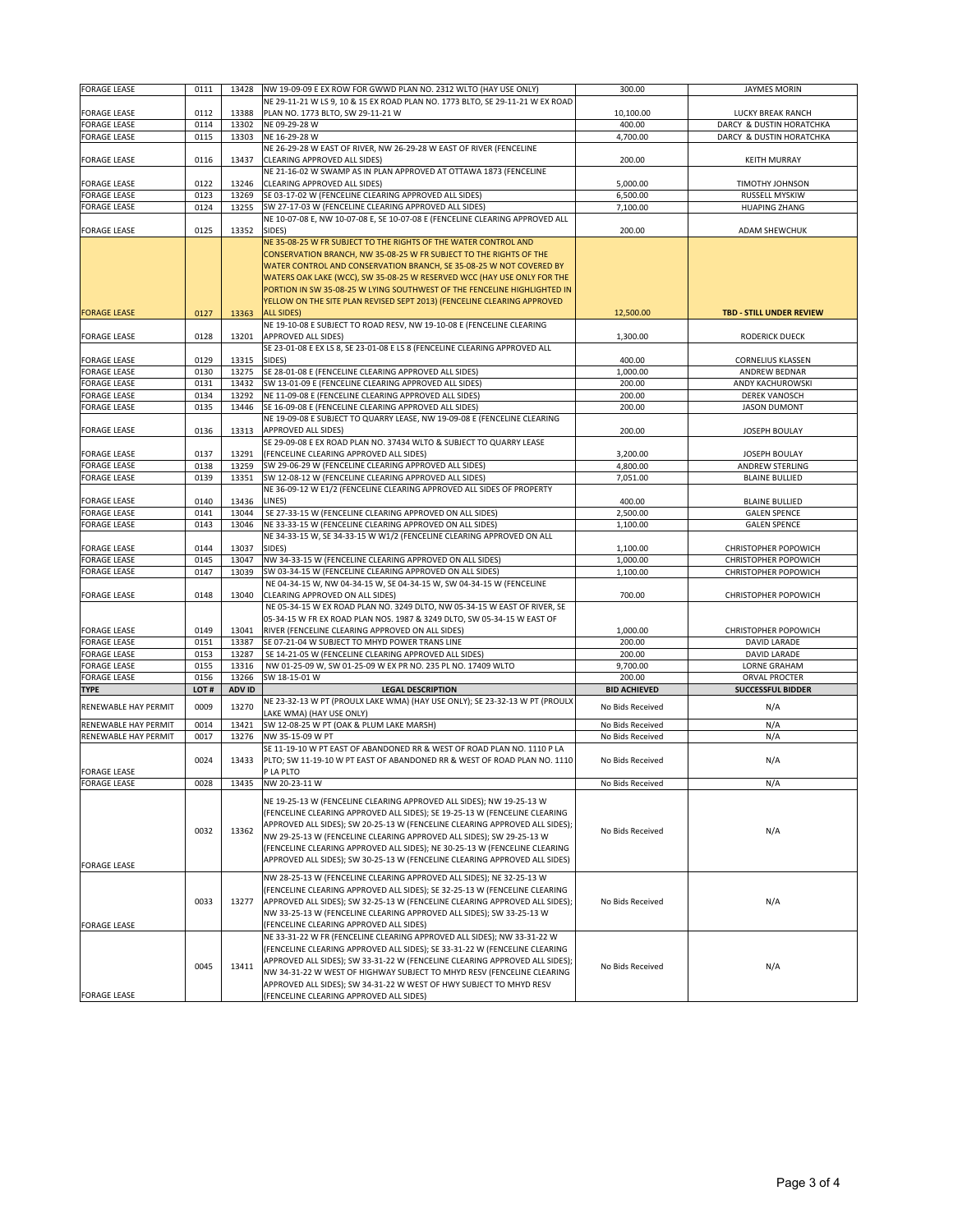| <b>FORAGE LEASE</b>  | 0111 | 13428  | NW 19-09-09 E EX ROW FOR GWWD PLAN NO. 2312 WLTO (HAY USE ONLY)               | 300.00              | <b>JAYMES MORIN</b>             |
|----------------------|------|--------|-------------------------------------------------------------------------------|---------------------|---------------------------------|
|                      |      |        | NE 29-11-21 W LS 9, 10 & 15 EX ROAD PLAN NO. 1773 BLTO, SE 29-11-21 W EX ROAD |                     |                                 |
| <b>FORAGE LEASE</b>  | 0112 | 13388  | PLAN NO. 1773 BLTO, SW 29-11-21 W                                             | 10,100.00           | LUCKY BREAK RANCH               |
|                      |      |        |                                                                               |                     |                                 |
| <b>FORAGE LEASE</b>  | 0114 | 13302  | NE 09-29-28 W                                                                 | 400.00              | DARCY & DUSTIN HORATCHKA        |
| <b>FORAGE LEASE</b>  | 0115 | 13303  | NE 16-29-28 W                                                                 | 4,700.00            | DARCY & DUSTIN HORATCHKA        |
|                      |      |        | NE 26-29-28 W EAST OF RIVER, NW 26-29-28 W EAST OF RIVER (FENCELINE           |                     |                                 |
|                      |      |        |                                                                               |                     |                                 |
| <b>FORAGE LEASE</b>  | 0116 | 13437  | CLEARING APPROVED ALL SIDES)                                                  | 200.00              | <b>KEITH MURRAY</b>             |
|                      |      |        | NE 21-16-02 W SWAMP AS IN PLAN APPROVED AT OTTAWA 1873 (FENCELINE             |                     |                                 |
|                      |      |        |                                                                               |                     |                                 |
| <b>FORAGE LEASE</b>  | 0122 | 13246  | CLEARING APPROVED ALL SIDES)                                                  | 5,000.00            | <b>TIMOTHY JOHNSON</b>          |
| <b>FORAGE LEASE</b>  | 0123 | 13269  | SE 03-17-02 W (FENCELINE CLEARING APPROVED ALL SIDES)                         | 6,500.00            | RUSSELL MYSKIW                  |
| <b>FORAGE LEASE</b>  | 0124 | 13255  | SW 27-17-03 W (FENCELINE CLEARING APPROVED ALL SIDES)                         | 7,100.00            | <b>HUAPING ZHANG</b>            |
|                      |      |        |                                                                               |                     |                                 |
|                      |      |        | NE 10-07-08 E, NW 10-07-08 E, SE 10-07-08 E (FENCELINE CLEARING APPROVED ALL  |                     |                                 |
| <b>FORAGE LEASE</b>  | 0125 | 13352  | SIDES)                                                                        | 200.00              | <b>ADAM SHEWCHUK</b>            |
|                      |      |        | NE 35-08-25 W FR SUBJECT TO THE RIGHTS OF THE WATER CONTROL AND               |                     |                                 |
|                      |      |        |                                                                               |                     |                                 |
|                      |      |        | CONSERVATION BRANCH, NW 35-08-25 W FR SUBJECT TO THE RIGHTS OF THE            |                     |                                 |
|                      |      |        | WATER CONTROL AND CONSERVATION BRANCH, SE 35-08-25 W NOT COVERED BY           |                     |                                 |
|                      |      |        | WATERS OAK LAKE (WCC), SW 35-08-25 W RESERVED WCC (HAY USE ONLY FOR THE       |                     |                                 |
|                      |      |        |                                                                               |                     |                                 |
|                      |      |        | PORTION IN SW 35-08-25 W LYING SOUTHWEST OF THE FENCELINE HIGHLIGHTED IN      |                     |                                 |
|                      |      |        | YELLOW ON THE SITE PLAN REVISED SEPT 2013) (FENCELINE CLEARING APPROVED       |                     |                                 |
|                      |      |        |                                                                               |                     |                                 |
| <b>FORAGE LEASE</b>  | 0127 | 13363  | <b>ALL SIDES)</b>                                                             | 12,500.00           | <b>TBD - STILL UNDER REVIEW</b> |
|                      |      |        | NE 19-10-08 E SUBJECT TO ROAD RESV, NW 19-10-08 E (FENCELINE CLEARING         |                     |                                 |
| <b>FORAGE LEASE</b>  | 0128 | 13201  | <b>APPROVED ALL SIDES)</b>                                                    | 1,300.00            | <b>RODERICK DUECK</b>           |
|                      |      |        |                                                                               |                     |                                 |
|                      |      |        | SE 23-01-08 E EX LS 8, SE 23-01-08 E LS 8 (FENCELINE CLEARING APPROVED ALL    |                     |                                 |
| <b>FORAGE LEASE</b>  | 0129 | 13315  | SIDES)                                                                        | 400.00              | <b>CORNELIUS KLASSEN</b>        |
|                      |      |        |                                                                               |                     |                                 |
| <b>FORAGE LEASE</b>  | 0130 | 13275  | SE 28-01-08 E (FENCELINE CLEARING APPROVED ALL SIDES)                         | 1,000.00            | ANDREW BEDNAR                   |
| FORAGE LEASE         | 0131 | 13432  | SW 13-01-09 E (FENCELINE CLEARING APPROVED ALL SIDES)                         | 200.00              | ANDY KACHUROWSKI                |
| FORAGE LEASE         | 0134 | 13292  | NE 11-09-08 E (FENCELINE CLEARING APPROVED ALL SIDES)                         | 200.00              | <b>DEREK VANOSCH</b>            |
|                      |      |        |                                                                               |                     |                                 |
| <b>FORAGE LEASE</b>  | 0135 | 13446  | SE 16-09-08 E (FENCELINE CLEARING APPROVED ALL SIDES)                         | 200.00              | <b>JASON DUMONT</b>             |
|                      |      |        | NE 19-09-08 E SUBJECT TO QUARRY LEASE, NW 19-09-08 E (FENCELINE CLEARING      |                     |                                 |
|                      |      |        |                                                                               |                     |                                 |
| <b>FORAGE LEASE</b>  | 0136 | 13313  | <b>APPROVED ALL SIDES)</b>                                                    | 200.00              | <b>JOSEPH BOULAY</b>            |
|                      |      |        | SE 29-09-08 E EX ROAD PLAN NO. 37434 WLTO & SUBJECT TO QUARRY LEASE           |                     |                                 |
| FORAGE LEASE         | 0137 | 13291  | (FENCELINE CLEARING APPROVED ALL SIDES)                                       | 3,200.00            | JOSEPH BOULAY                   |
|                      |      |        |                                                                               |                     |                                 |
| <b>FORAGE LEASE</b>  | 0138 | 13259  | SW 29-06-29 W (FENCELINE CLEARING APPROVED ALL SIDES)                         | 4,800.00            | <b>ANDREW STERLING</b>          |
| <b>FORAGE LEASE</b>  | 0139 | 13351  | SW 12-08-12 W (FENCELINE CLEARING APPROVED ALL SIDES)                         | 7,051.00            | <b>BLAINE BULLIED</b>           |
|                      |      |        | NE 36-09-12 W E1/2 (FENCELINE CLEARING APPROVED ALL SIDES OF PROPERTY         |                     |                                 |
|                      |      |        |                                                                               |                     |                                 |
| <b>FORAGE LEASE</b>  | 0140 | 13436  | LINES)                                                                        | 400.00              | <b>BLAINE BULLIED</b>           |
| <b>FORAGE LEASE</b>  | 0141 | 13044  | SE 27-33-15 W (FENCELINE CLEARING APPROVED ON ALL SIDES)                      | 2,500.00            | <b>GALEN SPENCE</b>             |
|                      |      |        | NE 33-33-15 W (FENCELINE CLEARING APPROVED ON ALL SIDES)                      |                     |                                 |
| <b>FORAGE LEASE</b>  | 0143 | 13046  |                                                                               | 1,100.00            | <b>GALEN SPENCE</b>             |
|                      |      |        | NE 34-33-15 W, SE 34-33-15 W W1/2 (FENCELINE CLEARING APPROVED ON ALL         |                     |                                 |
| <b>FORAGE LEASE</b>  | 0144 | 13037  | SIDES)                                                                        | 1,100.00            | CHRISTOPHER POPOWICH            |
|                      |      |        |                                                                               |                     |                                 |
| <b>FORAGE LEASE</b>  | 0145 | 13047  | NW 34-33-15 W (FENCELINE CLEARING APPROVED ON ALL SIDES)                      | 1,000.00            | CHRISTOPHER POPOWICH            |
| <b>FORAGE LEASE</b>  | 0147 | 13039  | SW 03-34-15 W (FENCELINE CLEARING APPROVED ON ALL SIDES)                      | 1,100.00            | CHRISTOPHER POPOWICH            |
|                      |      |        | NE 04-34-15 W, NW 04-34-15 W, SE 04-34-15 W, SW 04-34-15 W (FENCELINE         |                     |                                 |
|                      |      |        |                                                                               |                     |                                 |
| <b>FORAGE LEASE</b>  | 0148 | 13040  | CLEARING APPROVED ON ALL SIDES)                                               | 700.00              | CHRISTOPHER POPOWICH            |
|                      |      |        | NE 05-34-15 W EX ROAD PLAN NO. 3249 DLTO, NW 05-34-15 W EAST OF RIVER, SE     |                     |                                 |
|                      |      |        |                                                                               |                     |                                 |
|                      |      |        | 05-34-15 W FR EX ROAD PLAN NOS. 1987 & 3249 DLTO, SW 05-34-15 W EAST OF       |                     |                                 |
| <b>FORAGE LEASE</b>  | 0149 | 13041  | RIVER (FENCELINE CLEARING APPROVED ON ALL SIDES)                              | 1,000.00            | CHRISTOPHER POPOWICH            |
| <b>FORAGE LEASE</b>  | 0151 | 13387  | SE 07-21-04 W SUBJECT TO MHYD POWER TRANS LINE                                | 200.00              | DAVID LARADE                    |
|                      |      |        |                                                                               |                     |                                 |
| <b>FORAGE LEASE</b>  | 0153 | 13287  | SE 14-21-05 W (FENCELINE CLEARING APPROVED ALL SIDES)                         | 200.00              | DAVID LARADE                    |
| <b>FORAGE LEASE</b>  | 0155 | 13316  | NW 01-25-09 W, SW 01-25-09 W EX PR NO. 235 PL NO. 17409 WLTO                  | 9,700.00            | <b>LORNE GRAHAM</b>             |
| <b>FORAGE LEASE</b>  | 0156 | 13266  | SW 18-15-01 W                                                                 | 200.00              | <b>ORVAL PROCTER</b>            |
|                      |      |        |                                                                               |                     |                                 |
| <b>TYPE</b>          | LOT# | ADV ID | <b>LEGAL DESCRIPTION</b>                                                      | <b>BID ACHIEVED</b> | <b>SUCCESSFUL BIDDER</b>        |
|                      |      |        | NE 23-32-13 W PT (PROULX LAKE WMA) (HAY USE ONLY); SE 23-32-13 W PT (PROULX   |                     |                                 |
| RENEWABLE HAY PERMIT | 0009 | 13270  |                                                                               | No Bids Received    | N/A                             |
|                      |      |        | LAKE WMA) (HAY USE ONLY)                                                      |                     |                                 |
| RENEWABLE HAY PERMIT | 0014 | 13421  | SW 12-08-25 W PT (OAK & PLUM LAKE MARSH)                                      | No Bids Received    | N/A                             |
| RENEWABLE HAY PERMIT | 0017 | 13276  | NW 35-15-09 W PT                                                              | No Bids Received    | N/A                             |
|                      |      |        |                                                                               |                     |                                 |
|                      |      |        | SE 11-19-10 W PT EAST OF ABANDONED RR & WEST OF ROAD PLAN NO. 1110 P LA       |                     |                                 |
|                      | 0024 | 13433  | PLTO; SW 11-19-10 W PT EAST OF ABANDONED RR & WEST OF ROAD PLAN NO. 1110      | No Bids Received    | N/A                             |
| <b>FORAGE LEASE</b>  |      |        | P LA PLTO                                                                     |                     |                                 |
|                      |      |        |                                                                               |                     |                                 |
| <b>FORAGE LEASE</b>  | 0028 | 13435  | NW 20-23-11 W                                                                 | No Bids Received    | N/A                             |
|                      |      |        |                                                                               |                     |                                 |
|                      |      |        | NE 19-25-13 W (FENCELINE CLEARING APPROVED ALL SIDES); NW 19-25-13 W          |                     |                                 |
|                      |      |        | (FENCELINE CLEARING APPROVED ALL SIDES); SE 19-25-13 W (FENCELINE CLEARING    |                     |                                 |
|                      |      |        | APPROVED ALL SIDES); SW 20-25-13 W (FENCELINE CLEARING APPROVED ALL SIDES);   |                     |                                 |
|                      | 0032 | 13362  |                                                                               | No Bids Received    | N/A                             |
|                      |      |        | NW 29-25-13 W (FENCELINE CLEARING APPROVED ALL SIDES); SW 29-25-13 W          |                     |                                 |
|                      |      |        | (FENCELINE CLEARING APPROVED ALL SIDES); NE 30-25-13 W (FENCELINE CLEARING    |                     |                                 |
|                      |      |        |                                                                               |                     |                                 |
| <b>FORAGE LEASE</b>  |      |        | APPROVED ALL SIDES); SW 30-25-13 W (FENCELINE CLEARING APPROVED ALL SIDES)    |                     |                                 |
|                      |      |        |                                                                               |                     |                                 |
|                      |      |        | NW 28-25-13 W (FENCELINE CLEARING APPROVED ALL SIDES); NE 32-25-13 W          |                     |                                 |
|                      |      |        | (FENCELINE CLEARING APPROVED ALL SIDES); SE 32-25-13 W (FENCELINE CLEARING    |                     |                                 |
|                      | 0033 | 13277  | APPROVED ALL SIDES); SW 32-25-13 W (FENCELINE CLEARING APPROVED ALL SIDES);   | No Bids Received    |                                 |
|                      |      |        |                                                                               |                     | N/A                             |
|                      |      |        | NW 33-25-13 W (FENCELINE CLEARING APPROVED ALL SIDES); SW 33-25-13 W          |                     |                                 |
| <b>FORAGE LEASE</b>  |      |        | (FENCELINE CLEARING APPROVED ALL SIDES)                                       |                     |                                 |
|                      |      |        | NE 33-31-22 W FR (FENCELINE CLEARING APPROVED ALL SIDES); NW 33-31-22 W       |                     |                                 |
|                      |      |        |                                                                               |                     |                                 |
|                      |      |        | (FENCELINE CLEARING APPROVED ALL SIDES); SE 33-31-22 W (FENCELINE CLEARING    |                     |                                 |
|                      |      |        | APPROVED ALL SIDES); SW 33-31-22 W (FENCELINE CLEARING APPROVED ALL SIDES);   |                     |                                 |
|                      | 0045 | 13411  |                                                                               | No Bids Received    | N/A                             |
|                      |      |        | NW 34-31-22 W WEST OF HIGHWAY SUBJECT TO MHYD RESV (FENCELINE CLEARING        |                     |                                 |
|                      |      |        | APPROVED ALL SIDES); SW 34-31-22 W WEST OF HWY SUBJECT TO MHYD RESV           |                     |                                 |
| <b>FORAGE LEASE</b>  |      |        | (FENCELINE CLEARING APPROVED ALL SIDES)                                       |                     |                                 |
|                      |      |        |                                                                               |                     |                                 |